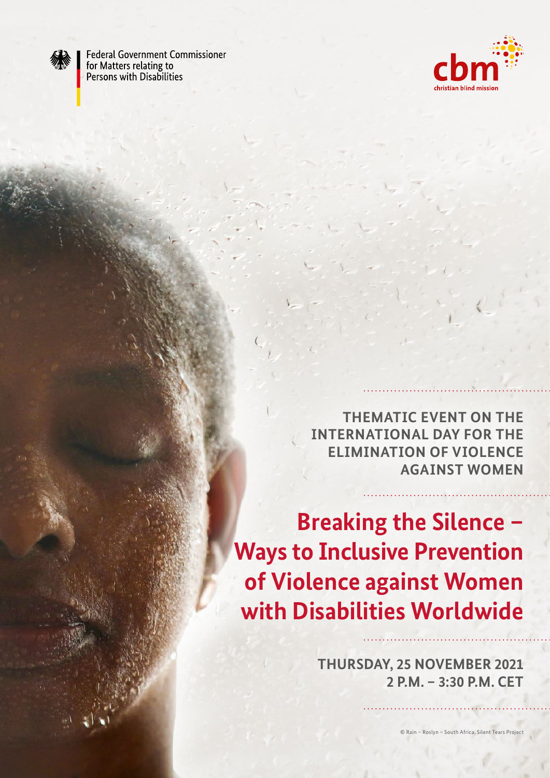

**Federal Government Commissioner** for Matters relating to Persons with Disabilities



**THEMATIC EVENT ON THE INTERNATIONAL DAY FOR THE ELIMINATION OF VIOLENCE AGAINST WOMEN**

**Breaking the Silence – Ways to Inclusive Prevention of Violence against Women with Disabilities Worldwide** 

> **THURSDAY, 25 NOVEMBER 2021 2 P.M. – 3:30 P.M. CET**

> > © Rain – Roslyn – South Africa, Silent Tears Project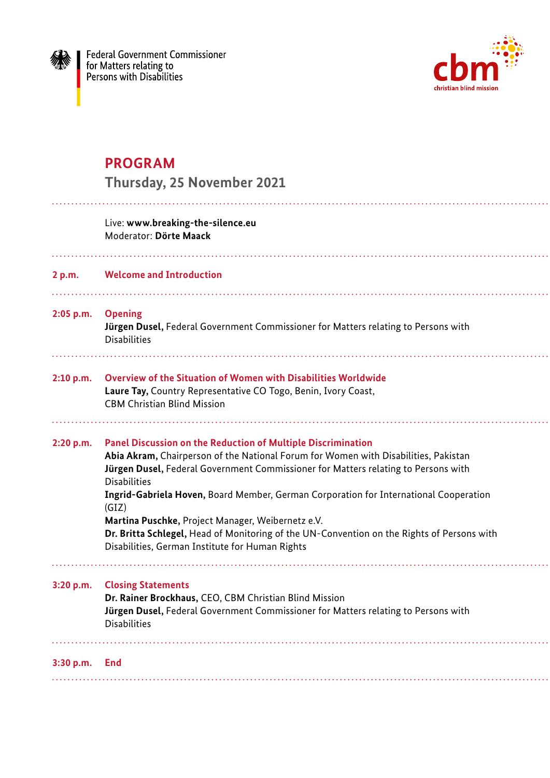



# **PROGRAM**

|             | <b>Thursday, 25 November 2021</b>                                                                                                                                                                                                                                                                                                                                                                                                                                                                                                                                               |
|-------------|---------------------------------------------------------------------------------------------------------------------------------------------------------------------------------------------------------------------------------------------------------------------------------------------------------------------------------------------------------------------------------------------------------------------------------------------------------------------------------------------------------------------------------------------------------------------------------|
|             | Live: www.breaking-the-silence.eu<br>Moderator: Dörte Maack                                                                                                                                                                                                                                                                                                                                                                                                                                                                                                                     |
| 2 p.m.      | <b>Welcome and Introduction</b>                                                                                                                                                                                                                                                                                                                                                                                                                                                                                                                                                 |
| $2:05$ p.m. | <b>Opening</b><br>Jürgen Dusel, Federal Government Commissioner for Matters relating to Persons with<br><b>Disabilities</b>                                                                                                                                                                                                                                                                                                                                                                                                                                                     |
| 2:10 p.m.   | <b>Overview of the Situation of Women with Disabilities Worldwide</b><br>Laure Tay, Country Representative CO Togo, Benin, Ivory Coast,<br><b>CBM Christian Blind Mission</b>                                                                                                                                                                                                                                                                                                                                                                                                   |
| 2:20 p.m.   | <b>Panel Discussion on the Reduction of Multiple Discrimination</b><br>Abia Akram, Chairperson of the National Forum for Women with Disabilities, Pakistan<br>Jürgen Dusel, Federal Government Commissioner for Matters relating to Persons with<br><b>Disabilities</b><br>Ingrid-Gabriela Hoven, Board Member, German Corporation for International Cooperation<br>(GIZ)<br>Martina Puschke, Project Manager, Weibernetz e.V.<br>Dr. Britta Schlegel, Head of Monitoring of the UN-Convention on the Rights of Persons with<br>Disabilities, German Institute for Human Rights |
| 3:20 p.m.   | <b>Closing Statements</b><br>Dr. Rainer Brockhaus, CEO, CBM Christian Blind Mission<br>Jürgen Dusel, Federal Government Commissioner for Matters relating to Persons with<br><b>Disabilities</b>                                                                                                                                                                                                                                                                                                                                                                                |
| 3:30 p.m.   | End                                                                                                                                                                                                                                                                                                                                                                                                                                                                                                                                                                             |
|             |                                                                                                                                                                                                                                                                                                                                                                                                                                                                                                                                                                                 |